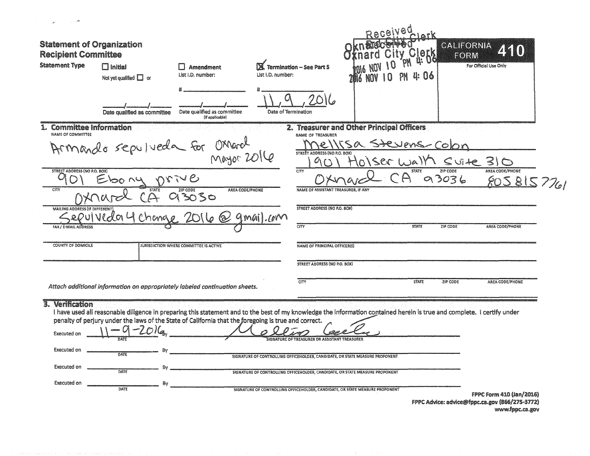| -28                                                      |                                               |                                                                                                      |                                                                                                                                                                         |                                           |                          |                              |
|----------------------------------------------------------|-----------------------------------------------|------------------------------------------------------------------------------------------------------|-------------------------------------------------------------------------------------------------------------------------------------------------------------------------|-------------------------------------------|--------------------------|------------------------------|
| <b>Statement of Organization</b>                         |                                               |                                                                                                      |                                                                                                                                                                         |                                           | CALIFORNIA               |                              |
| <b>Recipient Committee</b>                               |                                               |                                                                                                      |                                                                                                                                                                         |                                           | retk<br>Ge<br>FORM       |                              |
| <b>Statement Type</b>                                    | $\Box$ Initial<br>Not yet qualified $\Box$ or | l 1 Amendment<br>List I.D. number:                                                                   | Termination - See Part 5<br>List I.D. number:                                                                                                                           |                                           | u: 116                   | For Official Use Only        |
|                                                          | Date qualified as committee                   | Date qualified as committee<br>(if applicable)                                                       | Date of Termination                                                                                                                                                     |                                           |                          |                              |
| <b>Committee Information</b><br><b>NAME OF COMMITTEE</b> |                                               |                                                                                                      | NAME OF TREASURER                                                                                                                                                       | 2. Treasurer and Other Principal Officers |                          |                              |
|                                                          |                                               |                                                                                                      |                                                                                                                                                                         |                                           | Stevens-Colon            |                              |
|                                                          |                                               | Armando sepulveda for Ossarel                                                                        | STREET ADDRESS (NO. P.O. BOX)                                                                                                                                           |                                           | $S$ vite 31<br>ISBG WAIY |                              |
| <b>STREET ADDRESS (NO P.O. BOX)</b>                      | 00 NU                                         | DVIVE                                                                                                | CITY                                                                                                                                                                    |                                           | ZIP CODE<br>93036        | AREA CODE/PHONE<br>805815776 |
| CTY                                                      | <b>STATE</b>                                  | <b>AREA CODE/PHONE</b><br>ZIP CODE                                                                   |                                                                                                                                                                         | NAME OF ASSISTANT TREASURER, IF ANY       |                          |                              |
|                                                          |                                               | 3030                                                                                                 |                                                                                                                                                                         |                                           |                          |                              |
| <b>MAILING ADDRES</b>                                    | vIVeda                                        |                                                                                                      | <b>STREET ADDRESS (NO P.O. BOX)</b><br>1.10M                                                                                                                            |                                           |                          |                              |
| <b>FAX / E-MAIL ADDRES:</b>                              |                                               |                                                                                                      | CITY                                                                                                                                                                    |                                           | <b>STATE</b><br>ZIP CODE | <b>AREA CODE/PHONE</b>       |
| <b>COUNTY OF DOMICILE</b>                                |                                               | JURISDICTION WHERE COMMITTEE IS ACTIVE                                                               | <b>NAME OF PRINCIPAL OFFICER(S)</b>                                                                                                                                     |                                           |                          |                              |
|                                                          |                                               |                                                                                                      |                                                                                                                                                                         |                                           |                          |                              |
|                                                          |                                               |                                                                                                      | <b>STREET ADDRESS (NO P.O. BOX)</b>                                                                                                                                     |                                           |                          |                              |
|                                                          |                                               | Attach additional information on appropriately labeled continuation sheets.                          | CITY                                                                                                                                                                    |                                           | <b>STATE</b><br>ZIP CODE | AREA CODE/PHONE              |
| 3. Verification                                          |                                               |                                                                                                      |                                                                                                                                                                         |                                           |                          |                              |
|                                                          |                                               |                                                                                                      | I have used all reasonable diligence in preparing this statement and to the best of my knowledge the information contained herein is true and complete. I certify under |                                           |                          |                              |
|                                                          |                                               | penalty of perjury under the laws of the State of California that the foregoing is true and correct. |                                                                                                                                                                         |                                           |                          |                              |
| Executed on                                              |                                               |                                                                                                      | <b>REASURER OR ASSISTANT TREASURE</b>                                                                                                                                   |                                           |                          |                              |
| Executed on                                              | Bv<br><b>DATE</b>                             |                                                                                                      |                                                                                                                                                                         |                                           |                          |                              |
| Executed on                                              | Bv                                            |                                                                                                      | SIGNATURE OF CONTROLLING OFFICEHOLDER, CANDIDATE, OR STATE MEASURE PROPONENT                                                                                            |                                           |                          |                              |
|                                                          | DATE                                          |                                                                                                      | SIGNATURE OF CONTROLLING OFFICEHOLDER, CANDIDATE, OR STATE MEASURE PROPONENT                                                                                            |                                           |                          |                              |
| Executed on                                              | By<br>DATE                                    |                                                                                                      | SIGNATURE OF CONTROLLING OFFICEHOLDER, CANDIDATE, OR STATE MEASURE PROPONENT                                                                                            |                                           |                          |                              |
|                                                          |                                               |                                                                                                      |                                                                                                                                                                         |                                           |                          | FPPC Form 410 (Jan/2016)     |

 $\pm$  .

 $\mathbf{v} \mathbf{w}$  -que a consequency is a sequent of

FPPC Advice: advice@fppc.ca.gov (866/275-3772) www.fppc.ca.gov